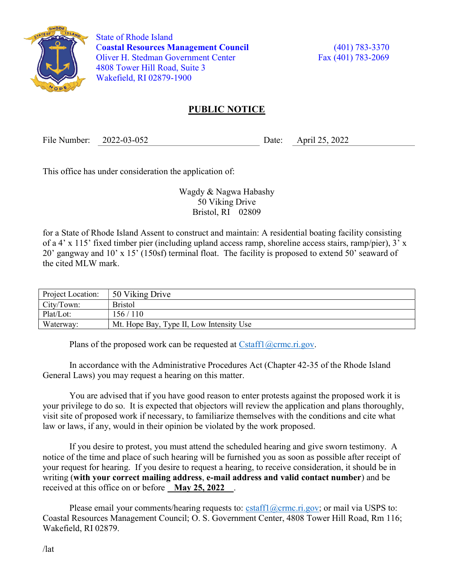

 State of Rhode Island Coastal Resources Management Council (401) 783-3370 Oliver H. Stedman Government Center Fax (401) 783-2069 4808 Tower Hill Road, Suite 3 Wakefield, RI 02879-1900

## PUBLIC NOTICE

File Number: 2022-03-052 Date: April 25, 2022

This office has under consideration the application of:

Wagdy & Nagwa Habashy 50 Viking Drive Bristol, RI 02809

for a State of Rhode Island Assent to construct and maintain: A residential boating facility consisting of a 4' x 115' fixed timber pier (including upland access ramp, shoreline access stairs, ramp/pier), 3' x 20' gangway and 10' x 15' (150sf) terminal float. The facility is proposed to extend 50' seaward of the cited MLW mark.

| Project Location: | 50 Viking Drive                          |
|-------------------|------------------------------------------|
| City/Town:        | <b>Bristol</b>                           |
| Plat/Lot:         | 156/110                                  |
| Waterway:         | Mt. Hope Bay, Type II, Low Intensity Use |

Plans of the proposed work can be requested at  $Cstat1(\omega$ crmc.ri.gov.

In accordance with the Administrative Procedures Act (Chapter 42-35 of the Rhode Island General Laws) you may request a hearing on this matter.

You are advised that if you have good reason to enter protests against the proposed work it is your privilege to do so. It is expected that objectors will review the application and plans thoroughly, visit site of proposed work if necessary, to familiarize themselves with the conditions and cite what law or laws, if any, would in their opinion be violated by the work proposed.

If you desire to protest, you must attend the scheduled hearing and give sworn testimony. A notice of the time and place of such hearing will be furnished you as soon as possible after receipt of your request for hearing. If you desire to request a hearing, to receive consideration, it should be in writing (with your correct mailing address, e-mail address and valid contact number) and be received at this office on or before May 25, 2022.

Please email your comments/hearing requests to: cstaff1@crmc.ri.gov; or mail via USPS to: Coastal Resources Management Council; O. S. Government Center, 4808 Tower Hill Road, Rm 116; Wakefield, RI 02879.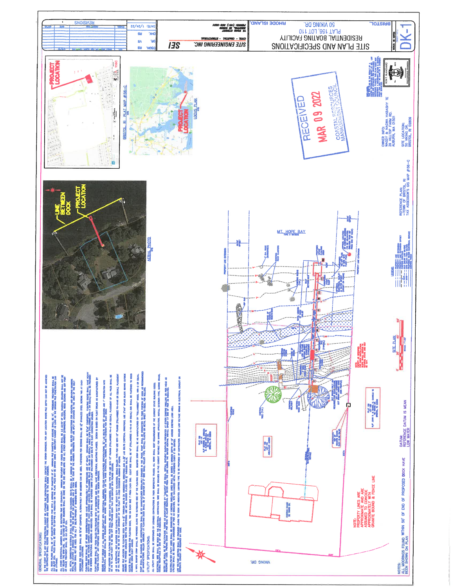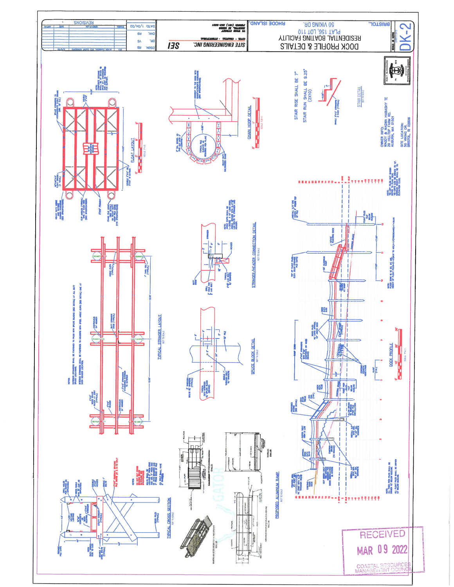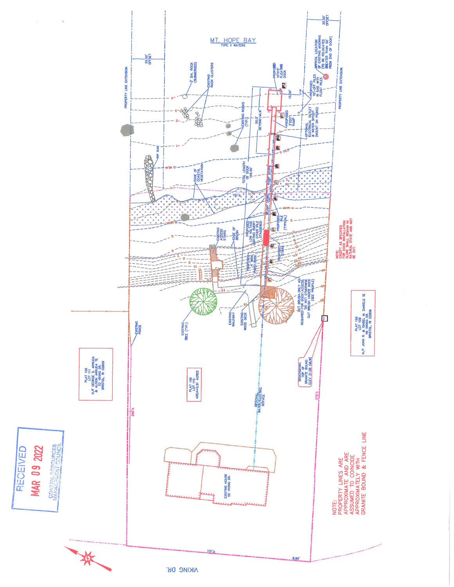

**NIKING DK**